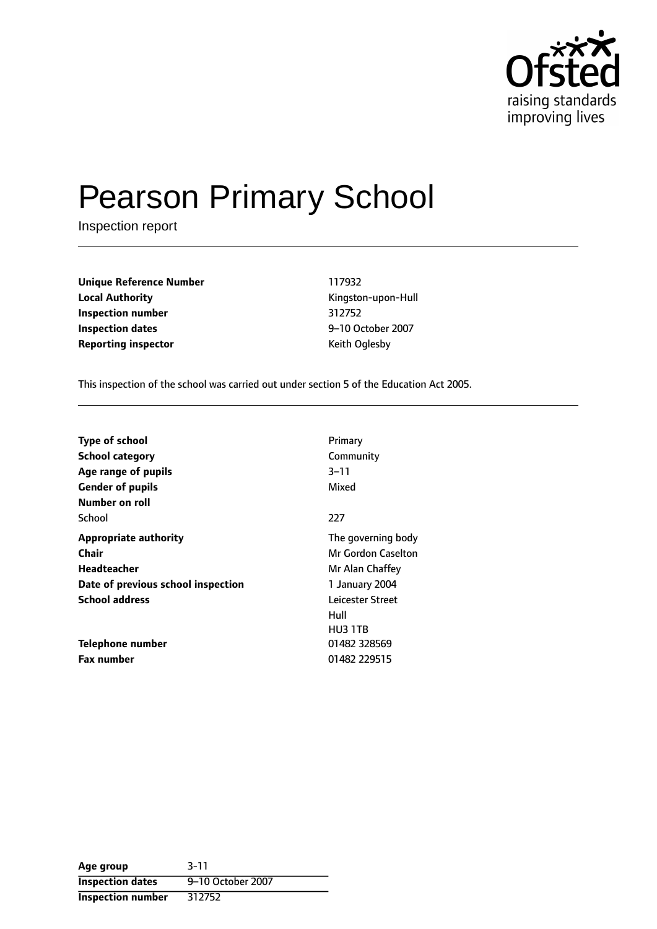

# Pearson Primary School

Inspection report

**Unique Reference Number** 117932 **Local Authority Constanting Constanting Constanting Constanting Constanting Kingston-upon-Hull Inspection number** 312752 **Inspection dates** 9-10 October 2007 **Reporting inspector CONFIDENTIAL REPORTING KEITH OF REPORTING** 

This inspection of the school was carried out under section 5 of the Education Act 2005.

| <b>Type of school</b><br><b>School category</b> | Primary<br>Community |
|-------------------------------------------------|----------------------|
| Age range of pupils                             | $3 - 11$             |
| <b>Gender of pupils</b>                         | Mixed                |
| Number on roll                                  |                      |
| School                                          | 227                  |
| <b>Appropriate authority</b>                    | The governing body   |
| Chair                                           | Mr Gordon Caselton   |
| Headteacher                                     | Mr Alan Chaffey      |
| Date of previous school inspection              | 1 January 2004       |
| <b>School address</b>                           | Leicester Street     |
|                                                 | Hull                 |
|                                                 | HU3 1TB              |
| Telephone number                                | 01482 328569         |
| <b>Fax number</b>                               | 01482 229515         |

| Age group                | $3 - 11$          |
|--------------------------|-------------------|
| <b>Inspection dates</b>  | 9-10 October 2007 |
| <b>Inspection number</b> | 312752            |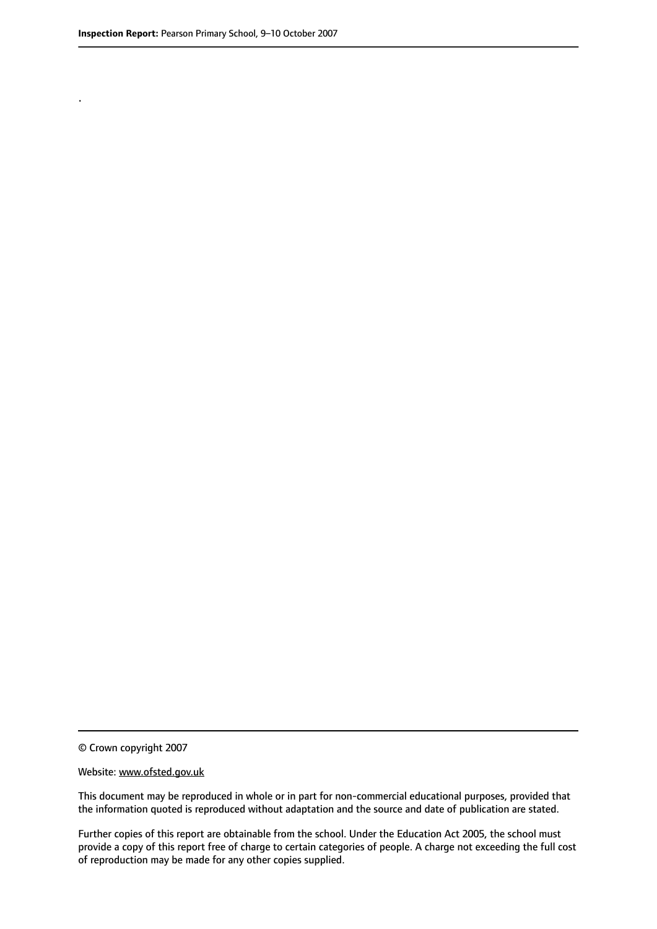.

© Crown copyright 2007

#### Website: www.ofsted.gov.uk

This document may be reproduced in whole or in part for non-commercial educational purposes, provided that the information quoted is reproduced without adaptation and the source and date of publication are stated.

Further copies of this report are obtainable from the school. Under the Education Act 2005, the school must provide a copy of this report free of charge to certain categories of people. A charge not exceeding the full cost of reproduction may be made for any other copies supplied.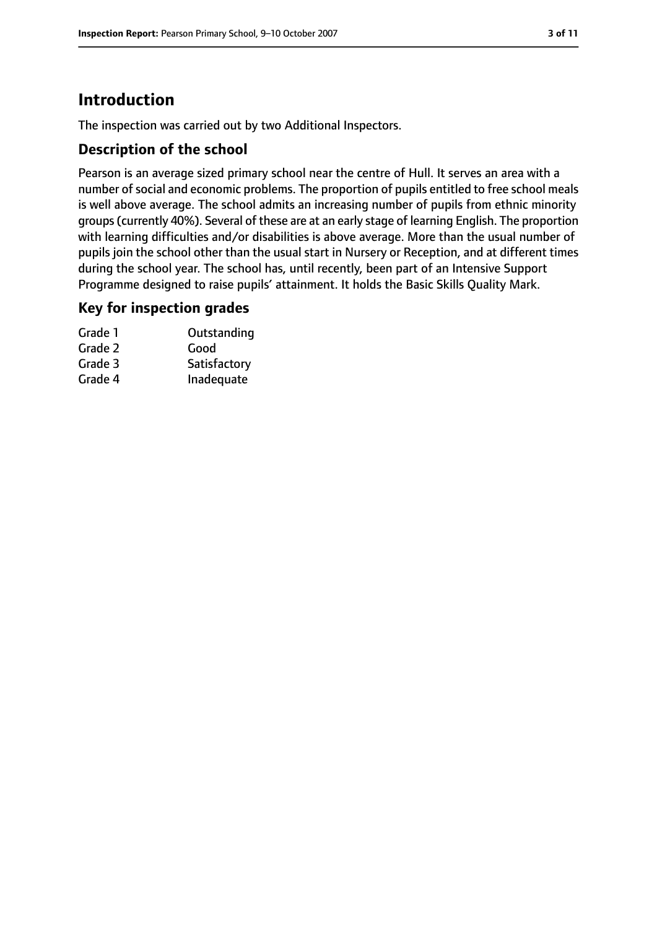# **Introduction**

The inspection was carried out by two Additional Inspectors.

## **Description of the school**

Pearson is an average sized primary school near the centre of Hull. It serves an area with a number of social and economic problems. The proportion of pupils entitled to free school meals is well above average. The school admits an increasing number of pupils from ethnic minority groups(currently 40%). Several of these are at an early stage of learning English. The proportion with learning difficulties and/or disabilities is above average. More than the usual number of pupils join the school other than the usual start in Nursery or Reception, and at different times during the school year. The school has, until recently, been part of an Intensive Support Programme designed to raise pupils' attainment. It holds the Basic Skills Quality Mark.

#### **Key for inspection grades**

| Grade 1 | Outstanding  |
|---------|--------------|
| Grade 2 | Good         |
| Grade 3 | Satisfactory |
| Grade 4 | Inadequate   |
|         |              |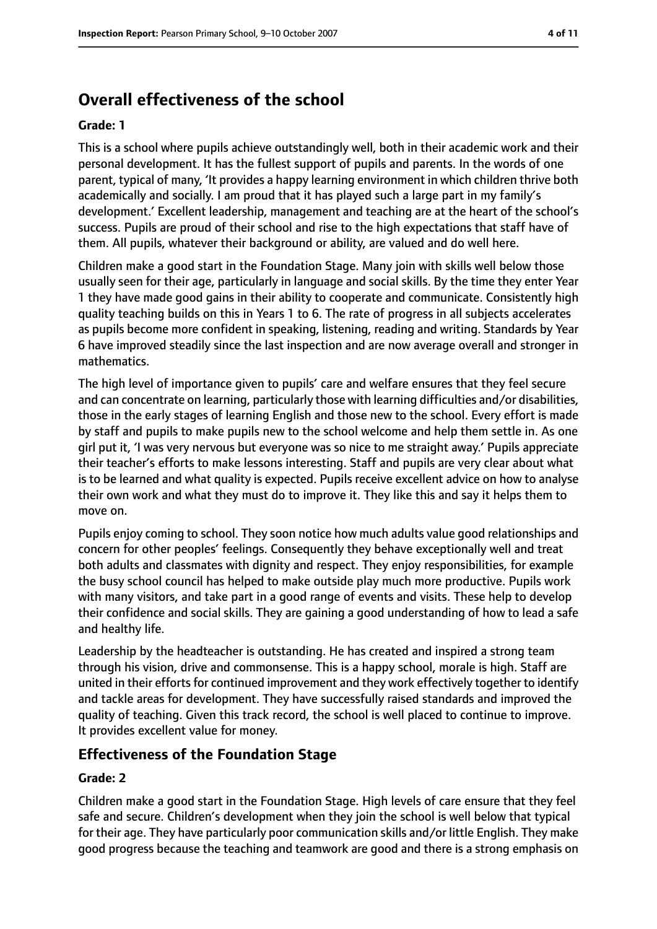# **Overall effectiveness of the school**

#### **Grade: 1**

This is a school where pupils achieve outstandingly well, both in their academic work and their personal development. It has the fullest support of pupils and parents. In the words of one parent, typical of many, 'It provides a happy learning environment in which children thrive both academically and socially. I am proud that it has played such a large part in my family's development.' Excellent leadership, management and teaching are at the heart of the school's success. Pupils are proud of their school and rise to the high expectations that staff have of them. All pupils, whatever their background or ability, are valued and do well here.

Children make a good start in the Foundation Stage. Many join with skills well below those usually seen for their age, particularly in language and social skills. By the time they enter Year 1 they have made good gains in their ability to cooperate and communicate. Consistently high quality teaching builds on this in Years 1 to 6. The rate of progress in all subjects accelerates as pupils become more confident in speaking, listening, reading and writing. Standards by Year 6 have improved steadily since the last inspection and are now average overall and stronger in mathematics.

The high level of importance given to pupils' care and welfare ensures that they feel secure and can concentrate on learning, particularly those with learning difficulties and/or disabilities, those in the early stages of learning English and those new to the school. Every effort is made by staff and pupils to make pupils new to the school welcome and help them settle in. As one girl put it, 'I was very nervous but everyone was so nice to me straight away.' Pupils appreciate their teacher's efforts to make lessons interesting. Staff and pupils are very clear about what is to be learned and what quality is expected. Pupils receive excellent advice on how to analyse their own work and what they must do to improve it. They like this and say it helps them to move on.

Pupils enjoy coming to school. They soon notice how much adults value good relationships and concern for other peoples' feelings. Consequently they behave exceptionally well and treat both adults and classmates with dignity and respect. They enjoy responsibilities, for example the busy school council has helped to make outside play much more productive. Pupils work with many visitors, and take part in a good range of events and visits. These help to develop their confidence and social skills. They are gaining a good understanding of how to lead a safe and healthy life.

Leadership by the headteacher is outstanding. He has created and inspired a strong team through his vision, drive and commonsense. This is a happy school, morale is high. Staff are united in their efforts for continued improvement and they work effectively together to identify and tackle areas for development. They have successfully raised standards and improved the quality of teaching. Given this track record, the school is well placed to continue to improve. It provides excellent value for money.

#### **Effectiveness of the Foundation Stage**

#### **Grade: 2**

Children make a good start in the Foundation Stage. High levels of care ensure that they feel safe and secure. Children's development when they join the school is well below that typical for their age. They have particularly poor communication skills and/or little English. They make good progress because the teaching and teamwork are good and there is a strong emphasis on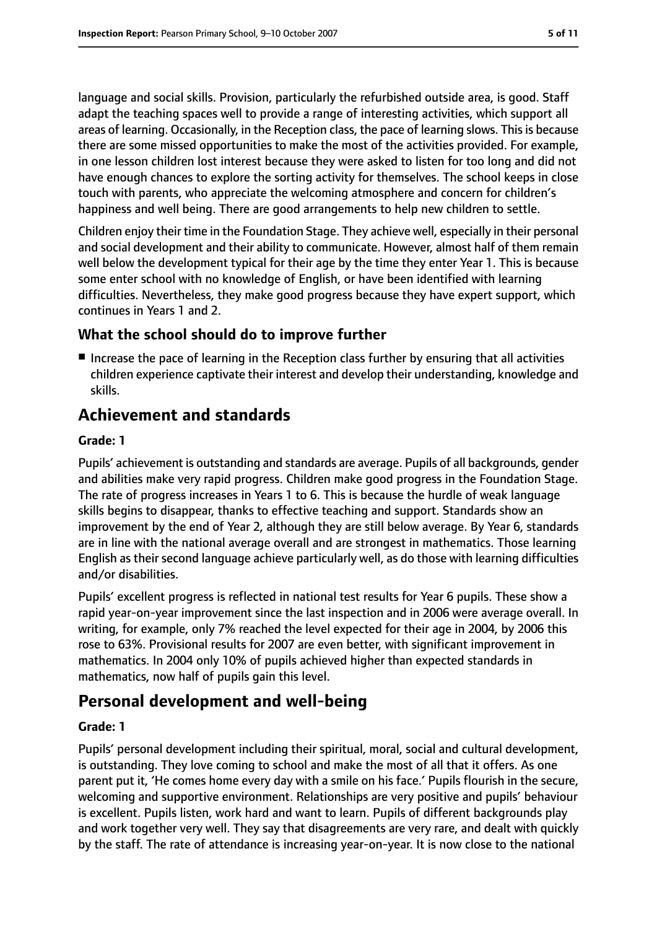language and social skills. Provision, particularly the refurbished outside area, is good. Staff adapt the teaching spaces well to provide a range of interesting activities, which support all areas of learning. Occasionally, in the Reception class, the pace of learning slows. Thisis because there are some missed opportunities to make the most of the activities provided. For example, in one lesson children lost interest because they were asked to listen for too long and did not have enough chances to explore the sorting activity for themselves. The school keeps in close touch with parents, who appreciate the welcoming atmosphere and concern for children's happiness and well being. There are good arrangements to help new children to settle.

Children enjoy their time in the Foundation Stage. They achieve well, especially in their personal and social development and their ability to communicate. However, almost half of them remain well below the development typical for their age by the time they enter Year 1. This is because some enter school with no knowledge of English, or have been identified with learning difficulties. Nevertheless, they make good progress because they have expert support, which continues in Years 1 and 2.

## **What the school should do to improve further**

■ Increase the pace of learning in the Reception class further by ensuring that all activities children experience captivate their interest and develop their understanding, knowledge and skills.

# **Achievement and standards**

#### **Grade: 1**

Pupils' achievement is outstanding and standards are average. Pupils of all backgrounds, gender and abilities make very rapid progress. Children make good progress in the Foundation Stage. The rate of progress increases in Years 1 to 6. This is because the hurdle of weak language skills begins to disappear, thanks to effective teaching and support. Standards show an improvement by the end of Year 2, although they are still below average. By Year 6, standards are in line with the national average overall and are strongest in mathematics. Those learning English as their second language achieve particularly well, as do those with learning difficulties and/or disabilities.

Pupils' excellent progress is reflected in national test results for Year 6 pupils. These show a rapid year-on-year improvement since the last inspection and in 2006 were average overall. In writing, for example, only 7% reached the level expected for their age in 2004, by 2006 this rose to 63%. Provisional results for 2007 are even better, with significant improvement in mathematics. In 2004 only 10% of pupils achieved higher than expected standards in mathematics, now half of pupils gain this level.

# **Personal development and well-being**

#### **Grade: 1**

Pupils' personal development including their spiritual, moral, social and cultural development, is outstanding. They love coming to school and make the most of all that it offers. As one parent put it, 'He comes home every day with a smile on his face.' Pupils flourish in the secure, welcoming and supportive environment. Relationships are very positive and pupils' behaviour is excellent. Pupils listen, work hard and want to learn. Pupils of different backgrounds play and work together very well. They say that disagreements are very rare, and dealt with quickly by the staff. The rate of attendance is increasing year-on-year. It is now close to the national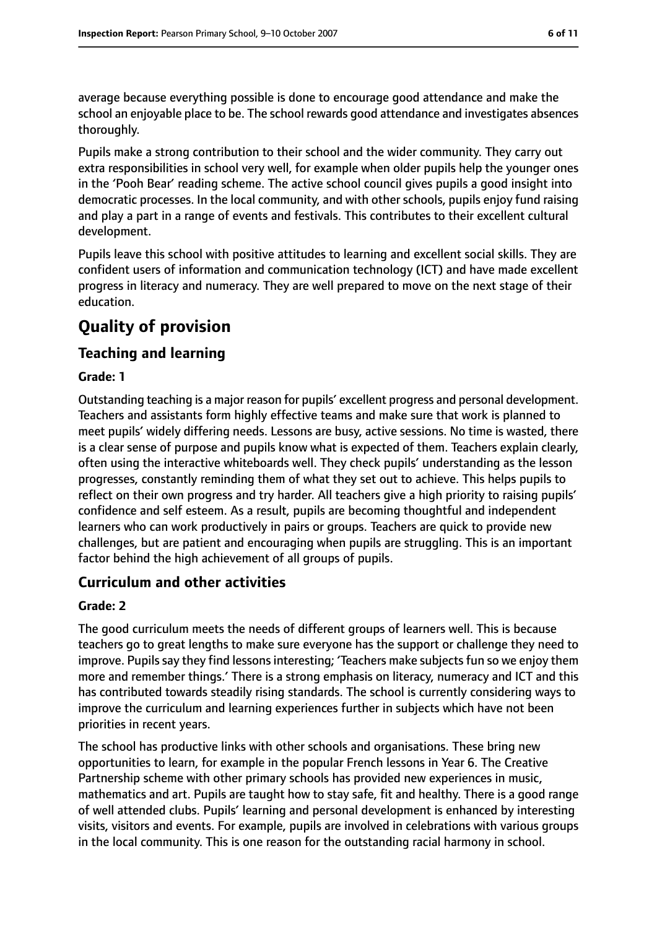average because everything possible is done to encourage good attendance and make the school an enjoyable place to be. The school rewards good attendance and investigates absences thoroughly.

Pupils make a strong contribution to their school and the wider community. They carry out extra responsibilities in school very well, for example when older pupils help the younger ones in the 'Pooh Bear' reading scheme. The active school council gives pupils a good insight into democratic processes. In the local community, and with other schools, pupils enjoy fund raising and play a part in a range of events and festivals. This contributes to their excellent cultural development.

Pupils leave this school with positive attitudes to learning and excellent social skills. They are confident users of information and communication technology (ICT) and have made excellent progress in literacy and numeracy. They are well prepared to move on the next stage of their education.

# **Quality of provision**

## **Teaching and learning**

#### **Grade: 1**

Outstanding teaching is a major reason for pupils' excellent progress and personal development. Teachers and assistants form highly effective teams and make sure that work is planned to meet pupils' widely differing needs. Lessons are busy, active sessions. No time is wasted, there is a clear sense of purpose and pupils know what is expected of them. Teachers explain clearly, often using the interactive whiteboards well. They check pupils' understanding as the lesson progresses, constantly reminding them of what they set out to achieve. This helps pupils to reflect on their own progress and try harder. All teachers give a high priority to raising pupils' confidence and self esteem. As a result, pupils are becoming thoughtful and independent learners who can work productively in pairs or groups. Teachers are quick to provide new challenges, but are patient and encouraging when pupils are struggling. This is an important factor behind the high achievement of all groups of pupils.

#### **Curriculum and other activities**

#### **Grade: 2**

The good curriculum meets the needs of different groups of learners well. This is because teachers go to great lengths to make sure everyone has the support or challenge they need to improve. Pupils say they find lessons interesting; 'Teachers make subjects fun so we enjoy them more and remember things.' There is a strong emphasis on literacy, numeracy and ICT and this has contributed towards steadily rising standards. The school is currently considering ways to improve the curriculum and learning experiences further in subjects which have not been priorities in recent years.

The school has productive links with other schools and organisations. These bring new opportunities to learn, for example in the popular French lessons in Year 6. The Creative Partnership scheme with other primary schools has provided new experiences in music, mathematics and art. Pupils are taught how to stay safe, fit and healthy. There is a good range of well attended clubs. Pupils' learning and personal development is enhanced by interesting visits, visitors and events. For example, pupils are involved in celebrations with various groups in the local community. This is one reason for the outstanding racial harmony in school.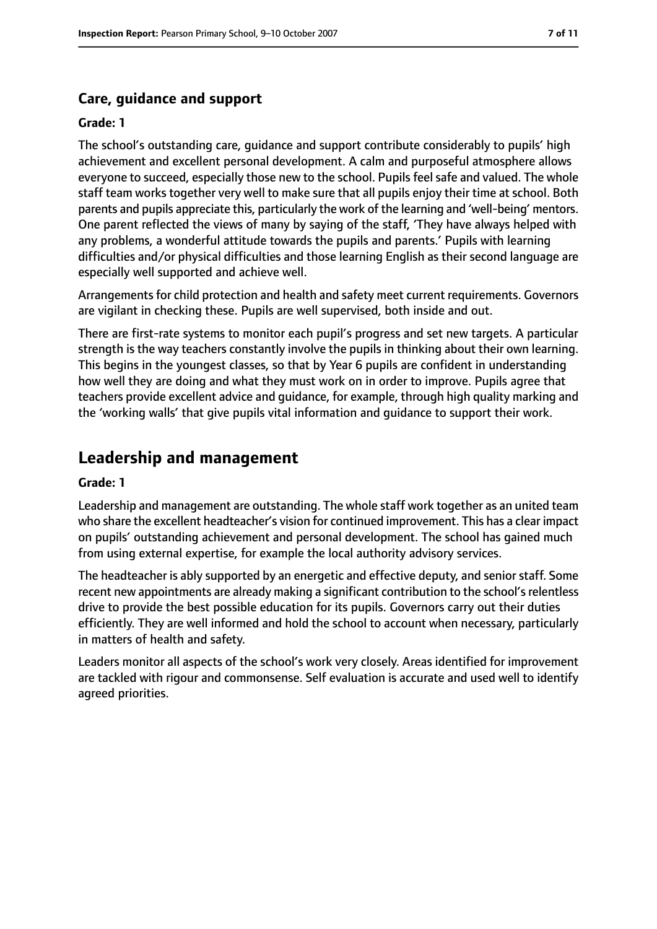## **Care, guidance and support**

#### **Grade: 1**

The school's outstanding care, guidance and support contribute considerably to pupils' high achievement and excellent personal development. A calm and purposeful atmosphere allows everyone to succeed, especially those new to the school. Pupils feel safe and valued. The whole staff team works together very well to make sure that all pupils enjoy their time at school. Both parents and pupils appreciate this, particularly the work of the learning and 'well-being' mentors. One parent reflected the views of many by saying of the staff, 'They have always helped with any problems, a wonderful attitude towards the pupils and parents.' Pupils with learning difficulties and/or physical difficulties and those learning English as their second language are especially well supported and achieve well.

Arrangements for child protection and health and safety meet current requirements. Governors are vigilant in checking these. Pupils are well supervised, both inside and out.

There are first-rate systems to monitor each pupil's progress and set new targets. A particular strength is the way teachers constantly involve the pupils in thinking about their own learning. This begins in the youngest classes, so that by Year 6 pupils are confident in understanding how well they are doing and what they must work on in order to improve. Pupils agree that teachers provide excellent advice and guidance, for example, through high quality marking and the 'working walls' that give pupils vital information and guidance to support their work.

# **Leadership and management**

#### **Grade: 1**

Leadership and management are outstanding. The whole staff work together as an united team who share the excellent headteacher's vision for continued improvement. This has a clear impact on pupils' outstanding achievement and personal development. The school has gained much from using external expertise, for example the local authority advisory services.

The headteacher is ably supported by an energetic and effective deputy, and senior staff. Some recent new appointments are already making a significant contribution to the school's relentless drive to provide the best possible education for its pupils. Governors carry out their duties efficiently. They are well informed and hold the school to account when necessary, particularly in matters of health and safety.

Leaders monitor all aspects of the school's work very closely. Areas identified for improvement are tackled with rigour and commonsense. Self evaluation is accurate and used well to identify agreed priorities.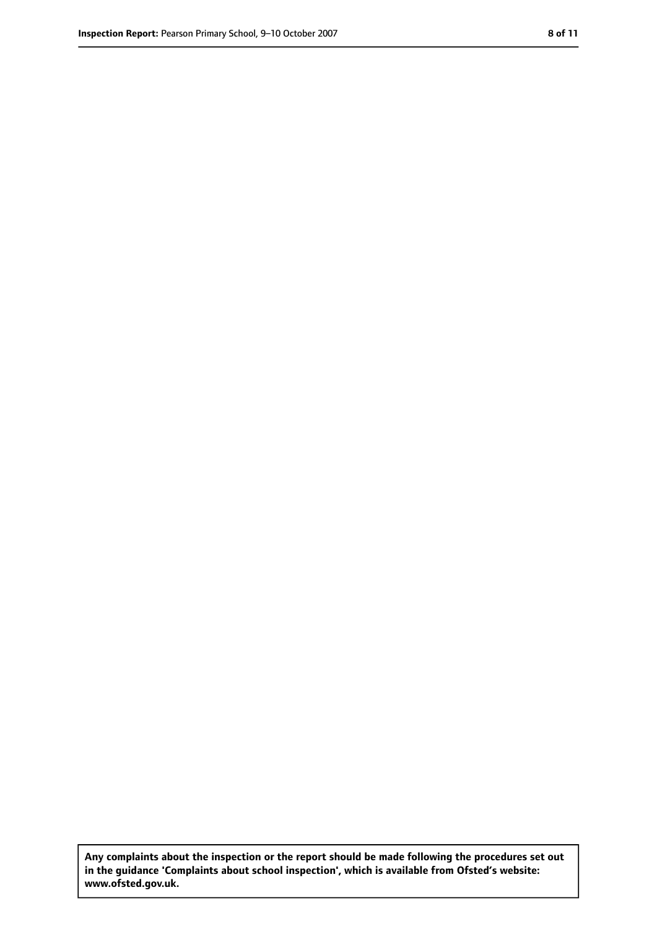**Any complaints about the inspection or the report should be made following the procedures set out in the guidance 'Complaints about school inspection', which is available from Ofsted's website: www.ofsted.gov.uk.**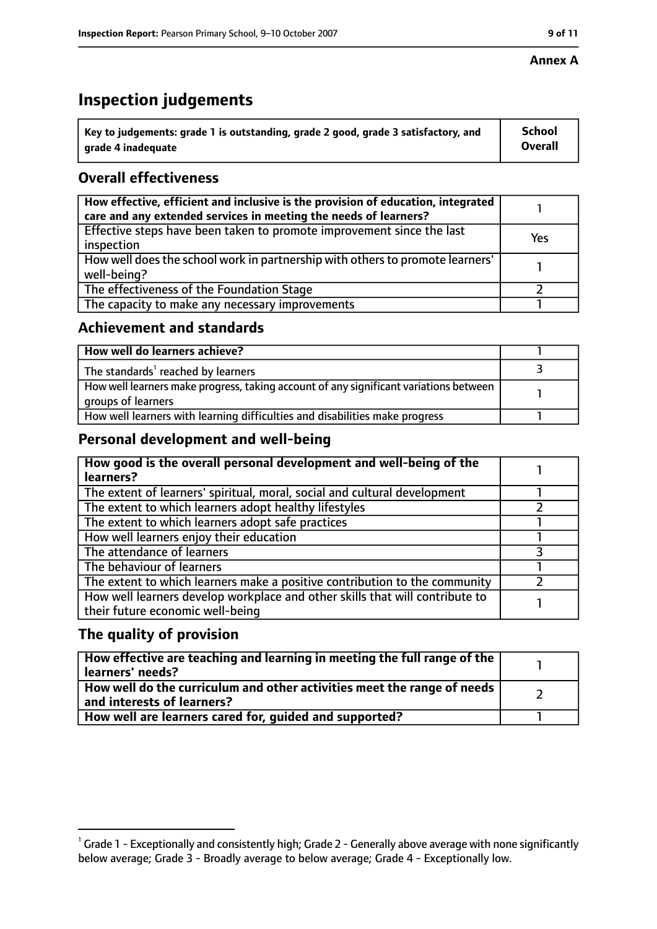#### **Annex A**

# **Inspection judgements**

| $^{\backprime}$ Key to judgements: grade 1 is outstanding, grade 2 good, grade 3 satisfactory, and | <b>School</b>  |
|----------------------------------------------------------------------------------------------------|----------------|
| arade 4 inadequate                                                                                 | <b>Overall</b> |

## **Overall effectiveness**

| How effective, efficient and inclusive is the provision of education, integrated<br>care and any extended services in meeting the needs of learners? |     |
|------------------------------------------------------------------------------------------------------------------------------------------------------|-----|
| Effective steps have been taken to promote improvement since the last<br>inspection                                                                  | Yes |
| How well does the school work in partnership with others to promote learners'<br>well-being?                                                         |     |
| The effectiveness of the Foundation Stage                                                                                                            |     |
| The capacity to make any necessary improvements                                                                                                      |     |

## **Achievement and standards**

| How well do learners achieve?                                                                               |  |
|-------------------------------------------------------------------------------------------------------------|--|
| $\mathsf I$ The standards <sup>1</sup> reached by learners                                                  |  |
| How well learners make progress, taking account of any significant variations between<br>groups of learners |  |
| How well learners with learning difficulties and disabilities make progress                                 |  |

## **Personal development and well-being**

| How good is the overall personal development and well-being of the<br>learners?                                  |  |
|------------------------------------------------------------------------------------------------------------------|--|
| The extent of learners' spiritual, moral, social and cultural development                                        |  |
| The extent to which learners adopt healthy lifestyles                                                            |  |
| The extent to which learners adopt safe practices                                                                |  |
| How well learners enjoy their education                                                                          |  |
| The attendance of learners                                                                                       |  |
| The behaviour of learners                                                                                        |  |
| The extent to which learners make a positive contribution to the community                                       |  |
| How well learners develop workplace and other skills that will contribute to<br>their future economic well-being |  |

## **The quality of provision**

| How effective are teaching and learning in meeting the full range of the<br>learners' needs?          |  |
|-------------------------------------------------------------------------------------------------------|--|
| How well do the curriculum and other activities meet the range of needs<br>and interests of learners? |  |
| How well are learners cared for, guided and supported?                                                |  |

 $^1$  Grade 1 - Exceptionally and consistently high; Grade 2 - Generally above average with none significantly below average; Grade 3 - Broadly average to below average; Grade 4 - Exceptionally low.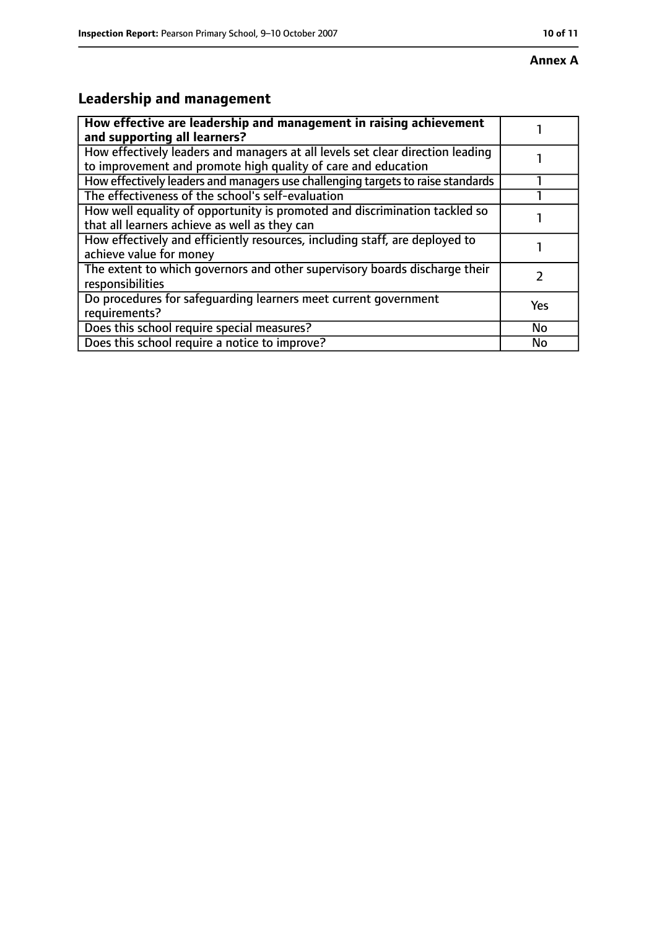# **Leadership and management**

| How effective are leadership and management in raising achievement<br>and supporting all learners?                                              |           |
|-------------------------------------------------------------------------------------------------------------------------------------------------|-----------|
| How effectively leaders and managers at all levels set clear direction leading<br>to improvement and promote high quality of care and education |           |
| How effectively leaders and managers use challenging targets to raise standards                                                                 |           |
| The effectiveness of the school's self-evaluation                                                                                               |           |
| How well equality of opportunity is promoted and discrimination tackled so<br>that all learners achieve as well as they can                     |           |
| How effectively and efficiently resources, including staff, are deployed to<br>achieve value for money                                          |           |
| The extent to which governors and other supervisory boards discharge their<br>responsibilities                                                  |           |
| Do procedures for safequarding learners meet current government<br>requirements?                                                                | Yes       |
| Does this school require special measures?                                                                                                      | <b>No</b> |
| Does this school require a notice to improve?                                                                                                   | No        |